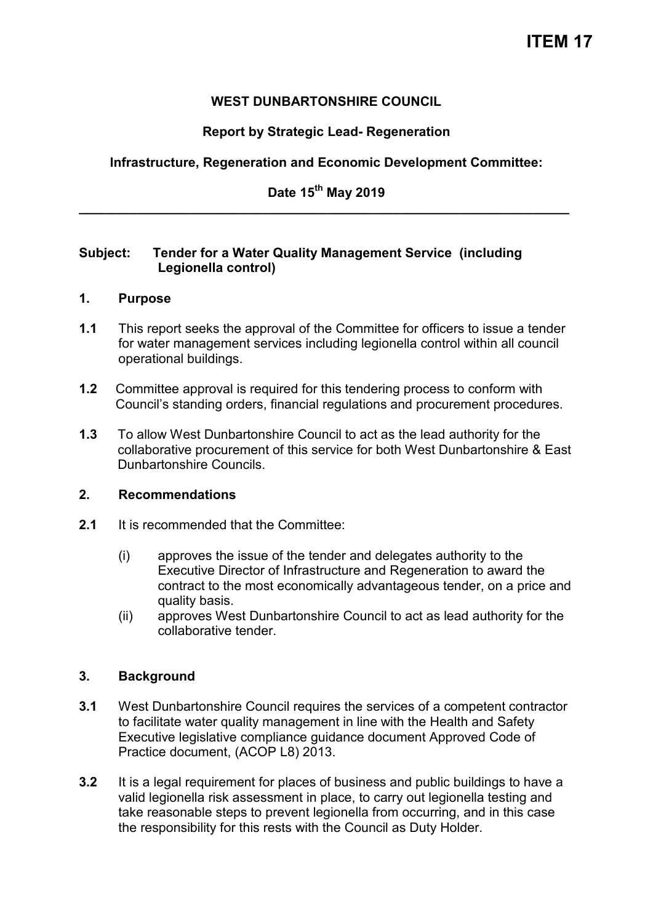# **WEST DUNBARTONSHIRE COUNCIL**

# **Report by Strategic Lead- Regeneration**

# **Infrastructure, Regeneration and Economic Development Committee:**

# **Date 15th May 2019 \_\_\_\_\_\_\_\_\_\_\_\_\_\_\_\_\_\_\_\_\_\_\_\_\_\_\_\_\_\_\_\_\_\_\_\_\_\_\_\_\_\_\_\_\_\_\_\_\_\_\_\_\_\_\_\_\_\_\_\_\_\_\_\_\_\_\_**

## **Subject: Tender for a Water Quality Management Service (including Legionella control)**

## **1. Purpose**

- **1.1** This report seeks the approval of the Committee for officers to issue a tender for water management services including legionella control within all council operational buildings.
- **1.2** Committee approval is required for this tendering process to conform with Council's standing orders, financial regulations and procurement procedures.
- **1.3** To allow West Dunbartonshire Council to act as the lead authority for the collaborative procurement of this service for both West Dunbartonshire & East Dunbartonshire Councils.

## **2. Recommendations**

- **2.1** It is recommended that the Committee:
	- (i) approves the issue of the tender and delegates authority to the Executive Director of Infrastructure and Regeneration to award the contract to the most economically advantageous tender, on a price and quality basis.
	- (ii) approves West Dunbartonshire Council to act as lead authority for the collaborative tender.

## **3. Background**

- **3.1** West Dunbartonshire Council requires the services of a competent contractor to facilitate water quality management in line with the Health and Safety Executive legislative compliance guidance document Approved Code of Practice document, (ACOP L8) 2013.
- **3.2** It is a legal requirement for places of business and public buildings to have a valid legionella risk assessment in place, to carry out legionella testing and take reasonable steps to prevent legionella from occurring, and in this case the responsibility for this rests with the Council as Duty Holder.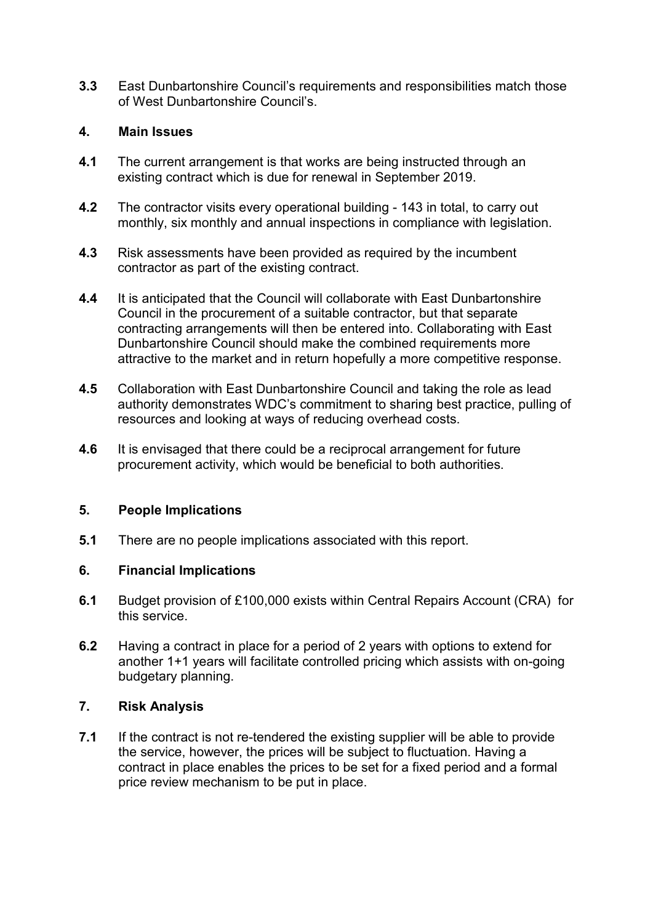**3.3** East Dunbartonshire Council's requirements and responsibilities match those of West Dunbartonshire Council's.

## **4. Main Issues**

- **4.1** The current arrangement is that works are being instructed through an existing contract which is due for renewal in September 2019.
- **4.2** The contractor visits every operational building 143 in total, to carry out monthly, six monthly and annual inspections in compliance with legislation.
- **4.3** Risk assessments have been provided as required by the incumbent contractor as part of the existing contract.
- **4.4** It is anticipated that the Council will collaborate with East Dunbartonshire Council in the procurement of a suitable contractor, but that separate contracting arrangements will then be entered into. Collaborating with East Dunbartonshire Council should make the combined requirements more attractive to the market and in return hopefully a more competitive response.
- **4.5** Collaboration with East Dunbartonshire Council and taking the role as lead authority demonstrates WDC's commitment to sharing best practice, pulling of resources and looking at ways of reducing overhead costs.
- **4.6** It is envisaged that there could be a reciprocal arrangement for future procurement activity, which would be beneficial to both authorities.

#### **5. People Implications**

**5.1** There are no people implications associated with this report.

#### **6. Financial Implications**

- **6.1** Budget provision of £100,000 exists within Central Repairs Account (CRA) for this service.
- **6.2** Having a contract in place for a period of 2 years with options to extend for another 1+1 years will facilitate controlled pricing which assists with on-going budgetary planning.

# **7. Risk Analysis**

**7.1** If the contract is not re-tendered the existing supplier will be able to provide the service, however, the prices will be subject to fluctuation. Having a contract in place enables the prices to be set for a fixed period and a formal price review mechanism to be put in place.